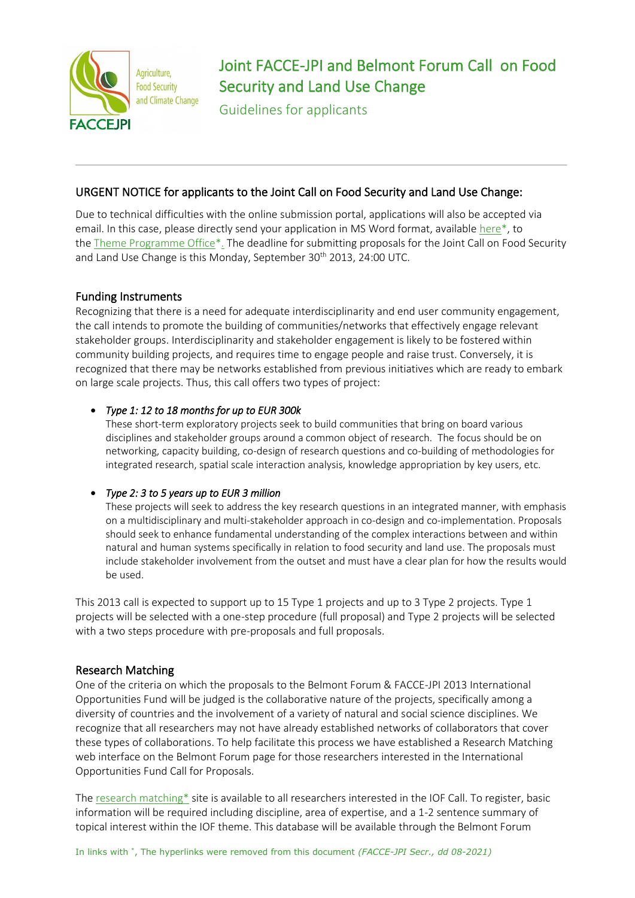

# Joint FACCE-JPI and Belmont Forum Call on Food Security and Land Use Change

Guidelines for applicants

# URGENT NOTICE for applicants to the Joint Call on Food Security and Land Use Change:

Due to technical difficulties with the online submission portal, applications will also be accepted via email. In this case, please directly send your application in MS Word format, available here\*, to the Theme Programme Office\*. The deadline for submitting proposals for the Joint Call on Food Security and Land Use Change is this Monday, September 30<sup>th</sup> 2013, 24:00 UTC.

# Funding Instruments

Recognizing that there is a need for adequate interdisciplinarity and end user community engagement, the call intends to promote the building of communities/networks that effectively engage relevant stakeholder groups. Interdisciplinarity and stakeholder engagement is likely to be fostered within community building projects, and requires time to engage people and raise trust. Conversely, it is recognized that there may be networks established from previous initiatives which are ready to embark on large scale projects. Thus, this call offers two types of project:

# • *Type 1: 12 to 18 months for up to EUR 300k*

These short-term exploratory projects seek to build communities that bring on board various disciplines and stakeholder groups around a common object of research. The focus should be on networking, capacity building, co-design of research questions and co-building of methodologies for integrated research, spatial scale interaction analysis, knowledge appropriation by key users, etc.

# • *Type 2: 3 to 5 years up to EUR 3 million*

These projects will seek to address the key research questions in an integrated manner, with emphasis on a multidisciplinary and multi-stakeholder approach in co-design and co-implementation. Proposals should seek to enhance fundamental understanding of the complex interactions between and within natural and human systems specifically in relation to food security and land use. The proposals must include stakeholder involvement from the outset and must have a clear plan for how the results would be used.

This 2013 call is expected to support up to 15 Type 1 projects and up to 3 Type 2 projects. Type 1 projects will be selected with a one-step procedure (full proposal) and Type 2 projects will be selected with a two steps procedure with pre-proposals and full proposals.

# Research Matching

One of the criteria on which the proposals to the Belmont Forum & FACCE-JPI 2013 International Opportunities Fund will be judged is the collaborative nature of the projects, specifically among a diversity of countries and the involvement of a variety of natural and social science disciplines. We recognize that all researchers may not have already established networks of collaborators that cover these types of collaborations. To help facilitate this process we have established a Research Matching web interface on the Belmont Forum page for those researchers interested in the International Opportunities Fund Call for Proposals.

The research matching\* site is available to all researchers interested in the IOF Call. To register, basic information will be required including discipline, area of expertise, and a 1-2 sentence summary of topical interest within the IOF theme. This database will be available through the Belmont Forum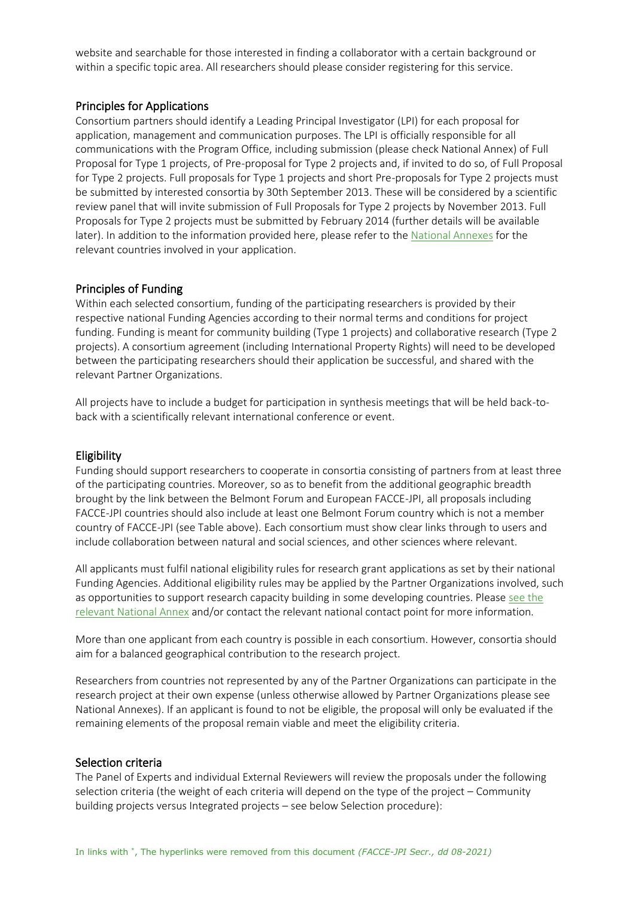website and searchable for those interested in finding a collaborator with a certain background or within a specific topic area. All researchers should please consider registering for this service.

# Principles for Applications

Consortium partners should identify a Leading Principal Investigator (LPI) for each proposal for application, management and communication purposes. The LPI is officially responsible for all communications with the Program Office, including submission (please check National Annex) of Full Proposal for Type 1 projects, of Pre-proposal for Type 2 projects and, if invited to do so, of Full Proposal for Type 2 projects. Full proposals for Type 1 projects and short Pre-proposals for Type 2 projects must be submitted by interested consortia by 30th September 2013. These will be considered by a scientific review panel that will invite submission of Full Proposals for Type 2 projects by November 2013. Full Proposals for Type 2 projects must be submitted by February 2014 (further details will be available later). In addition to the information provided here, please refer to the [National Annexes](https://www.belmontforum.org/cras#food2013) for the relevant countries involved in your application.

#### Principles of Funding

Within each selected consortium, funding of the participating researchers is provided by their respective national Funding Agencies according to their normal terms and conditions for project funding. Funding is meant for community building (Type 1 projects) and collaborative research (Type 2 projects). A consortium agreement (including International Property Rights) will need to be developed between the participating researchers should their application be successful, and shared with the relevant Partner Organizations.

All projects have to include a budget for participation in synthesis meetings that will be held back-toback with a scientifically relevant international conference or event.

#### Eligibility

Funding should support researchers to cooperate in consortia consisting of partners from at least three of the participating countries. Moreover, so as to benefit from the additional geographic breadth brought by the link between the Belmont Forum and European FACCE-JPI, all proposals including FACCE-JPI countries should also include at least one Belmont Forum country which is not a member country of FACCE-JPI (see Table above). Each consortium must show clear links through to users and include collaboration between natural and social sciences, and other sciences where relevant.

All applicants must fulfil national eligibility rules for research grant applications as set by their national Funding Agencies. Additional eligibility rules may be applied by the Partner Organizations involved, such as opportunities to support research capacity building in some developing countries. Please [see the](https://www.belmontforum.org/cras#food2013)  [relevant National Annex](https://www.belmontforum.org/cras#food2013) and/or contact the relevant national contact point for more information.

More than one applicant from each country is possible in each consortium. However, consortia should aim for a balanced geographical contribution to the research project.

Researchers from countries not represented by any of the Partner Organizations can participate in the research project at their own expense (unless otherwise allowed by Partner Organizations please see National Annexes). If an applicant is found to not be eligible, the proposal will only be evaluated if the remaining elements of the proposal remain viable and meet the eligibility criteria.

#### Selection criteria

The Panel of Experts and individual External Reviewers will review the proposals under the following selection criteria (the weight of each criteria will depend on the type of the project – Community building projects versus Integrated projects – see below Selection procedure):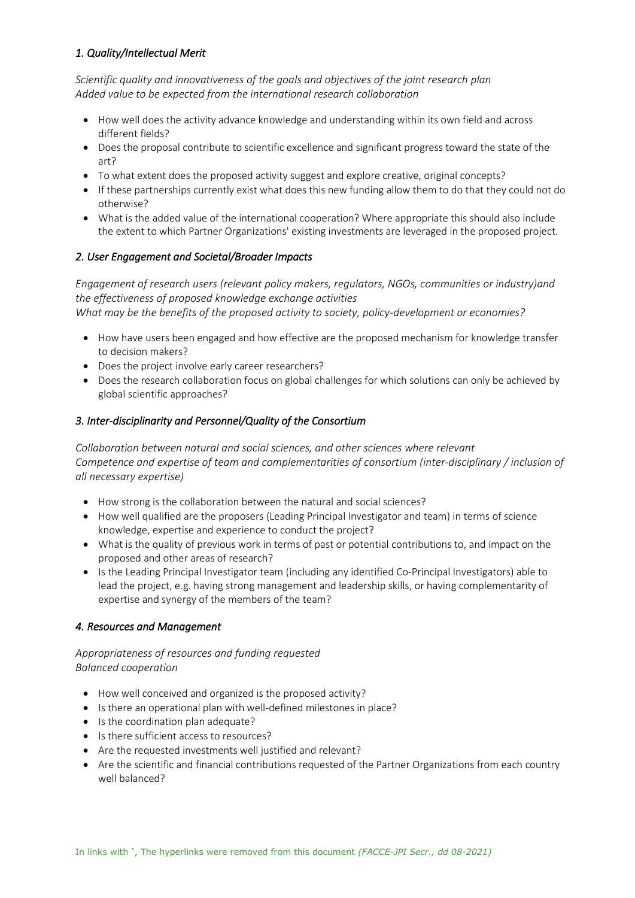# *1. Quality/Intellectual Merit*

*Scientific quality and innovativeness of the goals and objectives of the joint research plan Added value to be expected from the international research collaboration*

- How well does the activity advance knowledge and understanding within its own field and across different fields?
- Does the proposal contribute to scientific excellence and significant progress toward the state of the art?
- To what extent does the proposed activity suggest and explore creative, original concepts?
- If these partnerships currently exist what does this new funding allow them to do that they could not do otherwise?
- What is the added value of the international cooperation? Where appropriate this should also include the extent to which Partner Organizations' existing investments are leveraged in the proposed project.

# *2. User Engagement and Societal/Broader Impacts*

*Engagement of research users (relevant policy makers, regulators, NGOs, communities or industry)and the effectiveness of proposed knowledge exchange activities What may be the benefits of the proposed activity to society, policy-development or economies?*

- How have users been engaged and how effective are the proposed mechanism for knowledge transfer to decision makers?
- Does the project involve early career researchers?
- Does the research collaboration focus on global challenges for which solutions can only be achieved by global scientific approaches?

#### *3. Inter-disciplinarity and Personnel/Quality of the Consortium*

*Collaboration between natural and social sciences, and other sciences where relevant Competence and expertise of team and complementarities of consortium (inter-disciplinary / inclusion of all necessary expertise)*

- How strong is the collaboration between the natural and social sciences?
- How well qualified are the proposers (Leading Principal Investigator and team) in terms of science knowledge, expertise and experience to conduct the project?
- What is the quality of previous work in terms of past or potential contributions to, and impact on the proposed and other areas of research?
- Is the Leading Principal Investigator team (including any identified Co-Principal Investigators) able to lead the project, e.g. having strong management and leadership skills, or having complementarity of expertise and synergy of the members of the team?

#### *4. Resources and Management*

# *Appropriateness of resources and funding requested Balanced cooperation*

- How well conceived and organized is the proposed activity?
- Is there an operational plan with well-defined milestones in place?
- Is the coordination plan adequate?
- Is there sufficient access to resources?
- Are the requested investments well justified and relevant?
- Are the scientific and financial contributions requested of the Partner Organizations from each country well balanced?